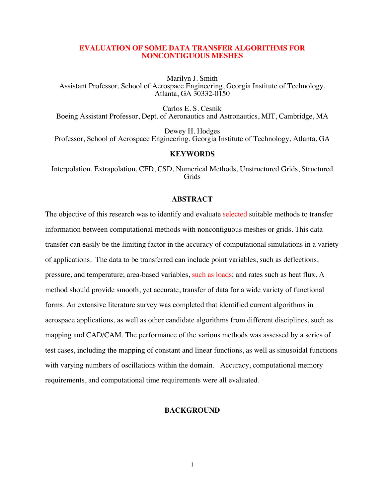## **EVALUATION OF SOME DATA TRANSFER ALGORITHMS FOR NONCONTIGUOUS MESHES**

Marilyn J. Smith

Assistant Professor, School of Aerospace Engineering, Georgia Institute of Technology, Atlanta, GA 30332-0150

Carlos E. S. Cesnik Boeing Assistant Professor, Dept. of Aeronautics and Astronautics, MIT, Cambridge, MA

Dewey H. Hodges Professor, School of Aerospace Engineering, Georgia Institute of Technology, Atlanta, GA

#### **KEYWORDS**

Interpolation, Extrapolation, CFD, CSD, Numerical Methods, Unstructured Grids, Structured Grids

#### **ABSTRACT**

The objective of this research was to identify and evaluate selected suitable methods to transfer information between computational methods with noncontiguous meshes or grids. This data transfer can easily be the limiting factor in the accuracy of computational simulations in a variety of applications. The data to be transferred can include point variables, such as deflections, pressure, and temperature; area-based variables, such as loads; and rates such as heat flux. A method should provide smooth, yet accurate, transfer of data for a wide variety of functional forms. An extensive literature survey was completed that identified current algorithms in aerospace applications, as well as other candidate algorithms from different disciplines, such as mapping and CAD/CAM. The performance of the various methods was assessed by a series of test cases, including the mapping of constant and linear functions, as well as sinusoidal functions with varying numbers of oscillations within the domain. Accuracy, computational memory requirements, and computational time requirements were all evaluated.

#### **BACKGROUND**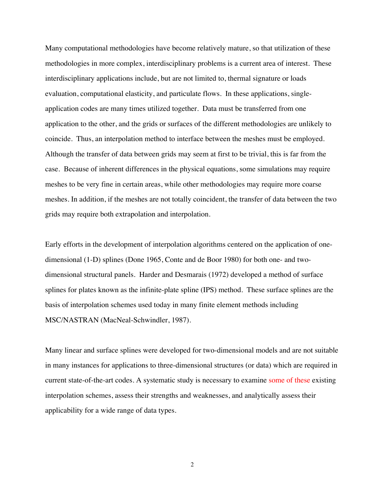Many computational methodologies have become relatively mature, so that utilization of these methodologies in more complex, interdisciplinary problems is a current area of interest. These interdisciplinary applications include, but are not limited to, thermal signature or loads evaluation, computational elasticity, and particulate flows. In these applications, singleapplication codes are many times utilized together. Data must be transferred from one application to the other, and the grids or surfaces of the different methodologies are unlikely to coincide. Thus, an interpolation method to interface between the meshes must be employed. Although the transfer of data between grids may seem at first to be trivial, this is far from the case. Because of inherent differences in the physical equations, some simulations may require meshes to be very fine in certain areas, while other methodologies may require more coarse meshes. In addition, if the meshes are not totally coincident, the transfer of data between the two grids may require both extrapolation and interpolation.

Early efforts in the development of interpolation algorithms centered on the application of onedimensional (1-D) splines (Done 1965, Conte and de Boor 1980) for both one- and twodimensional structural panels. Harder and Desmarais (1972) developed a method of surface splines for plates known as the infinite-plate spline (IPS) method. These surface splines are the basis of interpolation schemes used today in many finite element methods including MSC/NASTRAN (MacNeal-Schwindler, 1987).

Many linear and surface splines were developed for two-dimensional models and are not suitable in many instances for applications to three-dimensional structures (or data) which are required in current state-of-the-art codes. A systematic study is necessary to examine some of these existing interpolation schemes, assess their strengths and weaknesses, and analytically assess their applicability for a wide range of data types.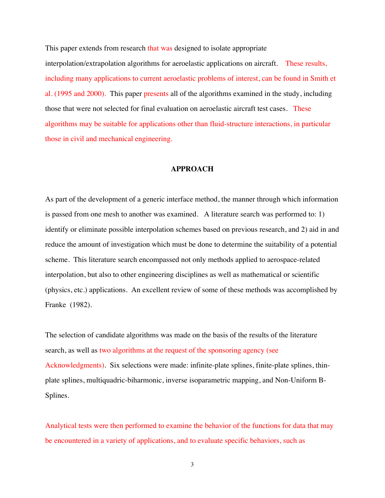This paper extends from research that was designed to isolate appropriate interpolation/extrapolation algorithms for aeroelastic applications on aircraft. These results, including many applications to current aeroelastic problems of interest, can be found in Smith et al. (1995 and 2000). This paper presents all of the algorithms examined in the study, including those that were not selected for final evaluation on aeroelastic aircraft test cases. These algorithms may be suitable for applications other than fluid-structure interactions, in particular those in civil and mechanical engineering.

# **APPROACH**

As part of the development of a generic interface method, the manner through which information is passed from one mesh to another was examined. A literature search was performed to: 1) identify or eliminate possible interpolation schemes based on previous research, and 2) aid in and reduce the amount of investigation which must be done to determine the suitability of a potential scheme. This literature search encompassed not only methods applied to aerospace-related interpolation, but also to other engineering disciplines as well as mathematical or scientific (physics, etc.) applications. An excellent review of some of these methods was accomplished by Franke (1982).

The selection of candidate algorithms was made on the basis of the results of the literature search, as well as two algorithms at the request of the sponsoring agency (see Acknowledgments). Six selections were made: infinite-plate splines, finite-plate splines, thinplate splines, multiquadric-biharmonic, inverse isoparametric mapping, and Non-Uniform B-Splines.

Analytical tests were then performed to examine the behavior of the functions for data that may be encountered in a variety of applications, and to evaluate specific behaviors, such as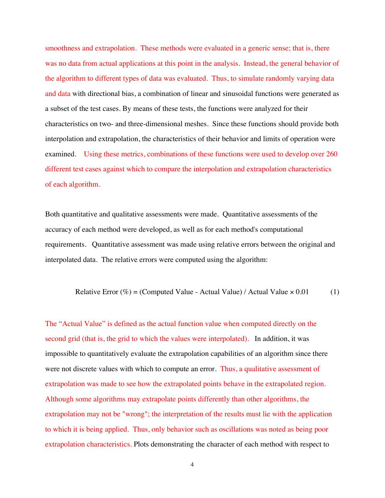smoothness and extrapolation. These methods were evaluated in a generic sense; that is, there was no data from actual applications at this point in the analysis. Instead, the general behavior of the algorithm to different types of data was evaluated. Thus, to simulate randomly varying data and data with directional bias, a combination of linear and sinusoidal functions were generated as a subset of the test cases. By means of these tests, the functions were analyzed for their characteristics on two- and three-dimensional meshes. Since these functions should provide both interpolation and extrapolation, the characteristics of their behavior and limits of operation were examined. Using these metrics, combinations of these functions were used to develop over 260 different test cases against which to compare the interpolation and extrapolation characteristics of each algorithm.

Both quantitative and qualitative assessments were made. Quantitative assessments of the accuracy of each method were developed, as well as for each method's computational requirements. Quantitative assessment was made using relative errors between the original and interpolated data. The relative errors were computed using the algorithm:

Relative Error (
$$
\%
$$
) = (Computed Value - Actual Value) / Actual Value  $\times 0.01$  (1)

The "Actual Value" is defined as the actual function value when computed directly on the second grid (that is, the grid to which the values were interpolated). In addition, it was impossible to quantitatively evaluate the extrapolation capabilities of an algorithm since there were not discrete values with which to compute an error. Thus, a qualitative assessment of extrapolation was made to see how the extrapolated points behave in the extrapolated region. Although some algorithms may extrapolate points differently than other algorithms, the extrapolation may not be "wrong"; the interpretation of the results must lie with the application to which it is being applied. Thus, only behavior such as oscillations was noted as being poor extrapolation characteristics. Plots demonstrating the character of each method with respect to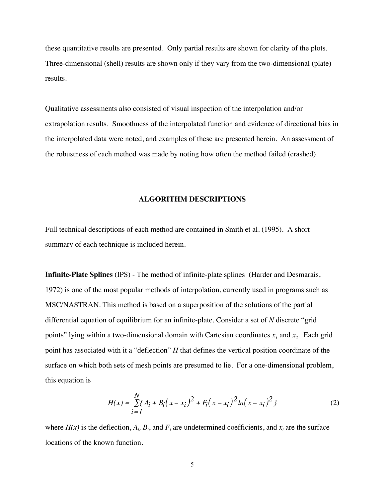these quantitative results are presented. Only partial results are shown for clarity of the plots. Three-dimensional (shell) results are shown only if they vary from the two-dimensional (plate) results.

Qualitative assessments also consisted of visual inspection of the interpolation and/or extrapolation results. Smoothness of the interpolated function and evidence of directional bias in the interpolated data were noted, and examples of these are presented herein. An assessment of the robustness of each method was made by noting how often the method failed (crashed).

#### **ALGORITHM DESCRIPTIONS**

Full technical descriptions of each method are contained in Smith et al. (1995). A short summary of each technique is included herein.

**Infinite-Plate Splines** (IPS) - The method of infinite-plate splines (Harder and Desmarais, 1972) is one of the most popular methods of interpolation, currently used in programs such as MSC/NASTRAN. This method is based on a superposition of the solutions of the partial differential equation of equilibrium for an infinite-plate. Consider a set of *N* discrete "grid points" lying within a two-dimensional domain with Cartesian coordinates  $x_1$  and  $x_2$ . Each grid point has associated with it a "deflection" *H* that defines the vertical position coordinate of the surface on which both sets of mesh points are presumed to lie. For a one-dimensional problem, this equation is

$$
H(x) = \sum_{i=1}^{N} \{A_i + B_i(x - x_i)^2 + F_i(x - x_i)^2 \ln(x - x_i)^2\}
$$
 (2)

where  $H(x)$  is the deflection,  $A_i$ ,  $B_i$ , and  $F_i$  are undetermined coefficients, and  $x_i$  are the surface locations of the known function.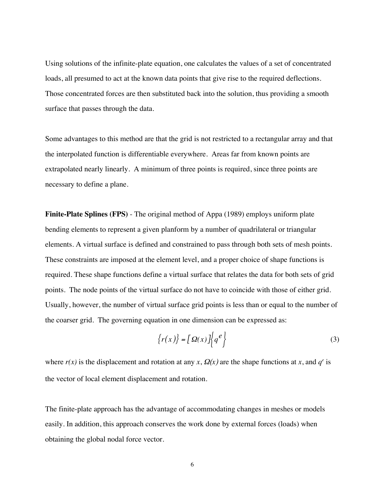Using solutions of the infinite-plate equation, one calculates the values of a set of concentrated loads, all presumed to act at the known data points that give rise to the required deflections*.* Those concentrated forces are then substituted back into the solution, thus providing a smooth surface that passes through the data.

Some advantages to this method are that the grid is not restricted to a rectangular array and that the interpolated function is differentiable everywhere. Areas far from known points are extrapolated nearly linearly. A minimum of three points is required, since three points are necessary to define a plane.

**Finite-Plate Splines (FPS)** - The original method of Appa (1989) employs uniform plate bending elements to represent a given planform by a number of quadrilateral or triangular elements. A virtual surface is defined and constrained to pass through both sets of mesh points. These constraints are imposed at the element level, and a proper choice of shape functions is required. These shape functions define a virtual surface that relates the data for both sets of grid points. The node points of the virtual surface do not have to coincide with those of either grid. Usually, however, the number of virtual surface grid points is less than or equal to the number of the coarser grid. The governing equation in one dimension can be expressed as:

$$
\{r(x)\} = \left[\Omega(x)\right] \left\{q^e\right\} \tag{3}
$$

where  $r(x)$  is the displacement and rotation at any *x*,  $\Omega(x)$  are the shape functions at *x*, and  $q^e$  is the vector of local element displacement and rotation.

The finite-plate approach has the advantage of accommodating changes in meshes or models easily. In addition, this approach conserves the work done by external forces (loads) when obtaining the global nodal force vector.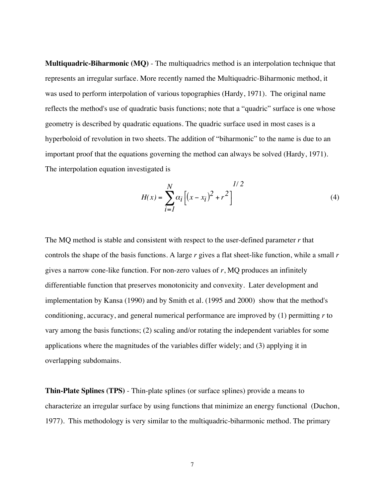**Multiquadric-Biharmonic (MQ)** - The multiquadrics method is an interpolation technique that represents an irregular surface. More recently named the Multiquadric-Biharmonic method, it was used to perform interpolation of various topographies (Hardy, 1971). The original name reflects the method's use of quadratic basis functions; note that a "quadric" surface is one whose geometry is described by quadratic equations. The quadric surface used in most cases is a hyperboloid of revolution in two sheets. The addition of "biharmonic" to the name is due to an important proof that the equations governing the method can always be solved (Hardy, 1971). The interpolation equation investigated is

$$
H(x) = \sum_{i=1}^{N} \alpha_i \left[ (x - x_i)^2 + r^2 \right]^{1/2}
$$
 (4)

The MQ method is stable and consistent with respect to the user-defined parameter *r* that controls the shape of the basis functions. A large *r* gives a flat sheet-like function, while a small *r* gives a narrow cone-like function. For non-zero values of *r*, MQ produces an infinitely differentiable function that preserves monotonicity and convexity. Later development and implementation by Kansa (1990) and by Smith et al. (1995 and 2000) show that the method's conditioning, accuracy, and general numerical performance are improved by (1) permitting *r* to vary among the basis functions; (2) scaling and/or rotating the independent variables for some applications where the magnitudes of the variables differ widely; and (3) applying it in overlapping subdomains.

**Thin-Plate Splines (TPS)** - Thin-plate splines (or surface splines) provide a means to characterize an irregular surface by using functions that minimize an energy functional (Duchon, 1977). This methodology is very similar to the multiquadric-biharmonic method. The primary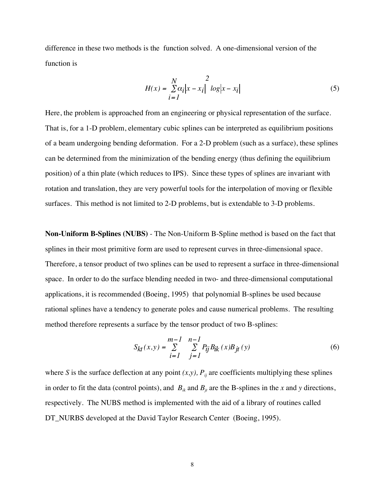difference in these two methods is the function solved. A one-dimensional version of the function is

$$
H(x) = \sum_{i=1}^{N} \alpha_i |x - x_i| \log |x - x_i|
$$
 (5)

Here, the problem is approached from an engineering or physical representation of the surface. That is, for a 1-D problem, elementary cubic splines can be interpreted as equilibrium positions of a beam undergoing bending deformation. For a 2-D problem (such as a surface), these splines can be determined from the minimization of the bending energy (thus defining the equilibrium position) of a thin plate (which reduces to IPS). Since these types of splines are invariant with rotation and translation, they are very powerful tools for the interpolation of moving or flexible surfaces. This method is not limited to 2-D problems, but is extendable to 3-D problems.

**Non-Uniform B-Splines (NUBS)** - The Non-Uniform B-Spline method is based on the fact that splines in their most primitive form are used to represent curves in three-dimensional space. Therefore, a tensor product of two splines can be used to represent a surface in three-dimensional space. In order to do the surface blending needed in two- and three-dimensional computational applications, it is recommended (Boeing, 1995) that polynomial B-splines be used because rational splines have a tendency to generate poles and cause numerical problems. The resulting method therefore represents a surface by the tensor product of two B-splines:

$$
S_{kt}(x,y) = \sum_{i=1}^{m-1} \sum_{j=1}^{n-1} P_{ij} B_{ik}(x) B_{jt}(y)
$$
 (6)

where *S* is the surface deflection at any point  $(x,y)$ ,  $P_{ij}$  are coefficients multiplying these splines in order to fit the data (control points), and  $B_{ik}$  and  $B_{jl}$  are the B-splines in the *x* and *y* directions, respectively. The NUBS method is implemented with the aid of a library of routines called DT\_NURBS developed at the David Taylor Research Center (Boeing, 1995).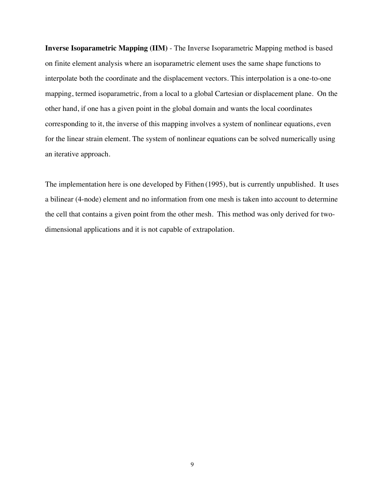**Inverse Isoparametric Mapping (IIM)** - The Inverse Isoparametric Mapping method is based on finite element analysis where an isoparametric element uses the same shape functions to interpolate both the coordinate and the displacement vectors. This interpolation is a one-to-one mapping, termed isoparametric, from a local to a global Cartesian or displacement plane. On the other hand, if one has a given point in the global domain and wants the local coordinates corresponding to it, the inverse of this mapping involves a system of nonlinear equations, even for the linear strain element. The system of nonlinear equations can be solved numerically using an iterative approach.

The implementation here is one developed by Fithen (1995), but is currently unpublished. It uses a bilinear (4-node) element and no information from one mesh is taken into account to determine the cell that contains a given point from the other mesh. This method was only derived for twodimensional applications and it is not capable of extrapolation.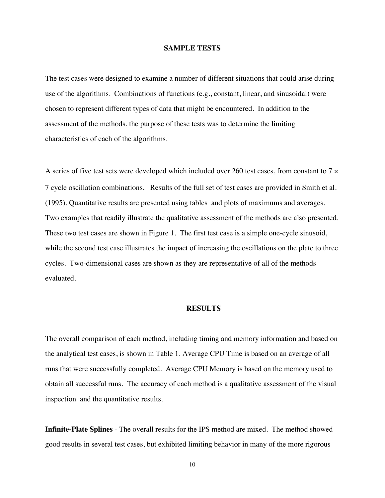## **SAMPLE TESTS**

The test cases were designed to examine a number of different situations that could arise during use of the algorithms. Combinations of functions (e.g., constant, linear, and sinusoidal) were chosen to represent different types of data that might be encountered. In addition to the assessment of the methods, the purpose of these tests was to determine the limiting characteristics of each of the algorithms.

A series of five test sets were developed which included over 260 test cases, from constant to 7  $\times$ 7 cycle oscillation combinations. Results of the full set of test cases are provided in Smith et al. (1995). Quantitative results are presented using tables and plots of maximums and averages. Two examples that readily illustrate the qualitative assessment of the methods are also presented. These two test cases are shown in Figure 1. The first test case is a simple one-cycle sinusoid, while the second test case illustrates the impact of increasing the oscillations on the plate to three cycles. Two-dimensional cases are shown as they are representative of all of the methods evaluated.

# **RESULTS**

The overall comparison of each method, including timing and memory information and based on the analytical test cases, is shown in Table 1. Average CPU Time is based on an average of all runs that were successfully completed. Average CPU Memory is based on the memory used to obtain all successful runs. The accuracy of each method is a qualitative assessment of the visual inspection and the quantitative results.

**Infinite-Plate Splines** - The overall results for the IPS method are mixed. The method showed good results in several test cases, but exhibited limiting behavior in many of the more rigorous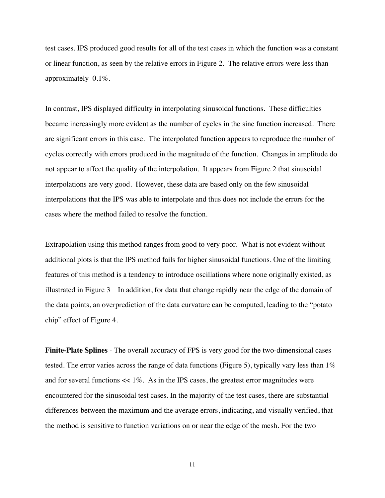test cases. IPS produced good results for all of the test cases in which the function was a constant or linear function, as seen by the relative errors in Figure 2. The relative errors were less than approximately 0.1%.

In contrast, IPS displayed difficulty in interpolating sinusoidal functions. These difficulties became increasingly more evident as the number of cycles in the sine function increased. There are significant errors in this case. The interpolated function appears to reproduce the number of cycles correctly with errors produced in the magnitude of the function. Changes in amplitude do not appear to affect the quality of the interpolation. It appears from Figure 2 that sinusoidal interpolations are very good. However, these data are based only on the few sinusoidal interpolations that the IPS was able to interpolate and thus does not include the errors for the cases where the method failed to resolve the function.

Extrapolation using this method ranges from good to very poor. What is not evident without additional plots is that the IPS method fails for higher sinusoidal functions. One of the limiting features of this method is a tendency to introduce oscillations where none originally existed, as illustrated in Figure 3 In addition, for data that change rapidly near the edge of the domain of the data points, an overprediction of the data curvature can be computed, leading to the "potato chip" effect of Figure 4.

**Finite-Plate Splines** - The overall accuracy of FPS is very good for the two-dimensional cases tested. The error varies across the range of data functions (Figure 5), typically vary less than  $1\%$ and for several functions  $<< 1\%$ . As in the IPS cases, the greatest error magnitudes were encountered for the sinusoidal test cases. In the majority of the test cases, there are substantial differences between the maximum and the average errors, indicating, and visually verified, that the method is sensitive to function variations on or near the edge of the mesh. For the two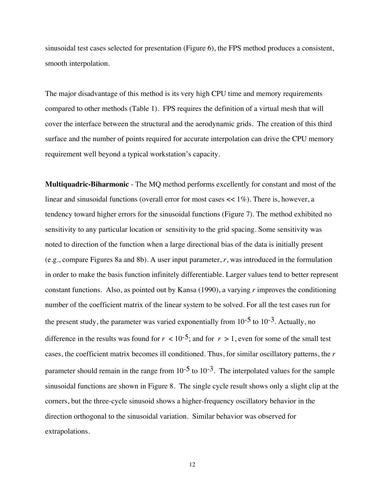sinusoidal test cases selected for presentation (Figure 6), the FPS method produces a consistent, smooth interpolation.

The major disadvantage of this method is its very high CPU time and memory requirements compared to other methods (Table 1). FPS requires the definition of a virtual mesh that will cover the interface between the structural and the aerodynamic grids. The creation of this third surface and the number of points required for accurate interpolation can drive the CPU memory requirement well beyond a typical workstation's capacity.

**Multiquadric-Biharmonic** - The MQ method performs excellently for constant and most of the linear and sinusoidal functions (overall error for most cases << 1%). There is, however, a tendency toward higher errors for the sinusoidal functions (Figure 7). The method exhibited no sensitivity to any particular location or sensitivity to the grid spacing. Some sensitivity was noted to direction of the function when a large directional bias of the data is initially present (e.g., compare Figures 8a and 8b). A user input parameter, *r*, was introduced in the formulation in order to make the basis function infinitely differentiable. Larger values tend to better represent constant functions. Also, as pointed out by Kansa (1990), a varying *r* improves the conditioning number of the coefficient matrix of the linear system to be solved. For all the test cases run for the present study, the parameter was varied exponentially from  $10^{-5}$  to  $10^{-3}$ . Actually, no difference in the results was found for  $r < 10^{-5}$ ; and for  $r > 1$ , even for some of the small test cases, the coefficient matrix becomes ill conditioned. Thus, for similar oscillatory patterns, the *r* parameter should remain in the range from  $10^{-5}$  to  $10^{-3}$ . The interpolated values for the sample sinusoidal functions are shown in Figure 8. The single cycle result shows only a slight clip at the corners, but the three-cycle sinusoid shows a higher-frequency oscillatory behavior in the direction orthogonal to the sinusoidal variation. Similar behavior was observed for extrapolations.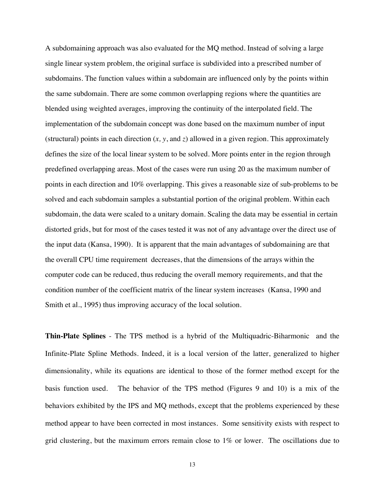A subdomaining approach was also evaluated for the MQ method. Instead of solving a large single linear system problem, the original surface is subdivided into a prescribed number of subdomains. The function values within a subdomain are influenced only by the points within the same subdomain. There are some common overlapping regions where the quantities are blended using weighted averages, improving the continuity of the interpolated field. The implementation of the subdomain concept was done based on the maximum number of input (structural) points in each direction (*x, y*, and *z*) allowed in a given region. This approximately defines the size of the local linear system to be solved. More points enter in the region through predefined overlapping areas. Most of the cases were run using 20 as the maximum number of points in each direction and 10% overlapping. This gives a reasonable size of sub-problems to be solved and each subdomain samples a substantial portion of the original problem. Within each subdomain, the data were scaled to a unitary domain. Scaling the data may be essential in certain distorted grids, but for most of the cases tested it was not of any advantage over the direct use of the input data (Kansa, 1990). It is apparent that the main advantages of subdomaining are that the overall CPU time requirement decreases, that the dimensions of the arrays within the computer code can be reduced, thus reducing the overall memory requirements, and that the condition number of the coefficient matrix of the linear system increases (Kansa, 1990 and Smith et al., 1995) thus improving accuracy of the local solution.

**Thin-Plate Splines** - The TPS method is a hybrid of the Multiquadric-Biharmonic and the Infinite-Plate Spline Methods. Indeed, it is a local version of the latter, generalized to higher dimensionality, while its equations are identical to those of the former method except for the basis function used. The behavior of the TPS method (Figures 9 and 10) is a mix of the behaviors exhibited by the IPS and MQ methods, except that the problems experienced by these method appear to have been corrected in most instances. Some sensitivity exists with respect to grid clustering, but the maximum errors remain close to 1% or lower. The oscillations due to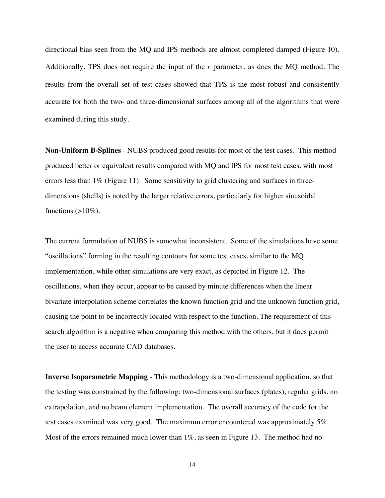directional bias seen from the MQ and IPS methods are almost completed damped (Figure 10). Additionally, TPS does not require the input of the *r* parameter, as does the MQ method. The results from the overall set of test cases showed that TPS is the most robust and consistently accurate for both the two- and three-dimensional surfaces among all of the algorithms that were examined during this study.

**Non-Uniform B-Splines** - NUBS produced good results for most of the test cases. This method produced better or equivalent results compared with MQ and IPS for most test cases, with most errors less than  $1\%$  (Figure 11). Some sensitivity to grid clustering and surfaces in threedimensions (shells) is noted by the larger relative errors, particularly for higher sinusoidal functions  $(>10\%)$ .

The current formulation of NUBS is somewhat inconsistent. Some of the simulations have some "oscillations" forming in the resulting contours for some test cases, similar to the MQ implementation, while other simulations are very exact, as depicted in Figure 12. The oscillations, when they occur, appear to be caused by minute differences when the linear bivariate interpolation scheme correlates the known function grid and the unknown function grid, causing the point to be incorrectly located with respect to the function. The requirement of this search algorithm is a negative when comparing this method with the others, but it does permit the user to access accurate CAD databases.

**Inverse Isoparametric Mapping** - This methodology is a two-dimensional application, so that the testing was constrained by the following: two-dimensional surfaces (plates), regular grids, no extrapolation, and no beam element implementation. The overall accuracy of the code for the test cases examined was very good. The maximum error encountered was approximately 5%. Most of the errors remained much lower than 1%, as seen in Figure 13. The method had no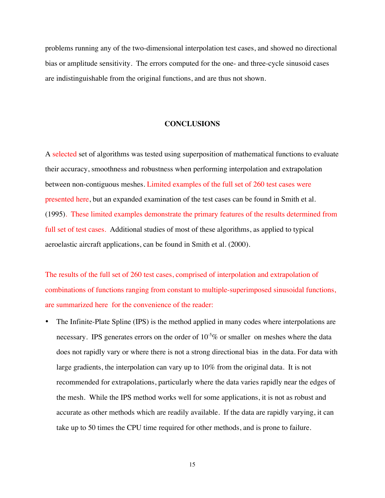problems running any of the two-dimensional interpolation test cases, and showed no directional bias or amplitude sensitivity. The errors computed for the one- and three-cycle sinusoid cases are indistinguishable from the original functions, and are thus not shown.

# **CONCLUSIONS**

A selected set of algorithms was tested using superposition of mathematical functions to evaluate their accuracy, smoothness and robustness when performing interpolation and extrapolation between non-contiguous meshes. Limited examples of the full set of 260 test cases were presented here, but an expanded examination of the test cases can be found in Smith et al. (1995). These limited examples demonstrate the primary features of the results determined from full set of test cases. Additional studies of most of these algorithms, as applied to typical aeroelastic aircraft applications, can be found in Smith et al. (2000).

The results of the full set of 260 test cases, comprised of interpolation and extrapolation of combinations of functions ranging from constant to multiple-superimposed sinusoidal functions, are summarized here for the convenience of the reader:

• The Infinite-Plate Spline (IPS) is the method applied in many codes where interpolations are necessary. IPS generates errors on the order of  $10<sup>5</sup>%$  or smaller on meshes where the data does not rapidly vary or where there is not a strong directional bias in the data. For data with large gradients, the interpolation can vary up to 10% from the original data. It is not recommended for extrapolations, particularly where the data varies rapidly near the edges of the mesh. While the IPS method works well for some applications, it is not as robust and accurate as other methods which are readily available. If the data are rapidly varying, it can take up to 50 times the CPU time required for other methods, and is prone to failure.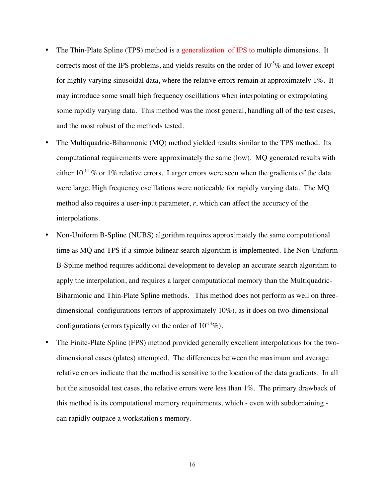- The Thin-Plate Spline (TPS) method is a generalization of IPS to multiple dimensions. It corrects most of the IPS problems, and yields results on the order of  $10^{-5}\%$  and lower except for highly varying sinusoidal data, where the relative errors remain at approximately 1%. It may introduce some small high frequency oscillations when interpolating or extrapolating some rapidly varying data. This method was the most general, handling all of the test cases, and the most robust of the methods tested.
- The Multiquadric-Biharmonic (MQ) method yielded results similar to the TPS method. Its computational requirements were approximately the same (low). MQ generated results with either  $10^{-14}$  % or 1% relative errors. Larger errors were seen when the gradients of the data were large. High frequency oscillations were noticeable for rapidly varying data. The MQ method also requires a user-input parameter,  $r$ , which can affect the accuracy of the interpolations.
- Non-Uniform B-Spline (NUBS) algorithm requires approximately the same computational time as MQ and TPS if a simple bilinear search algorithm is implemented. The Non-Uniform B-Spline method requires additional development to develop an accurate search algorithm to apply the interpolation, and requires a larger computational memory than the Multiquadric-Biharmonic and Thin-Plate Spline methods. This method does not perform as well on threedimensional configurations (errors of approximately 10%), as it does on two-dimensional configurations (errors typically on the order of  $10^{-14}\%$ ).
- The Finite-Plate Spline (FPS) method provided generally excellent interpolations for the twodimensional cases (plates) attempted. The differences between the maximum and average relative errors indicate that the method is sensitive to the location of the data gradients. In all but the sinusoidal test cases, the relative errors were less than 1%. The primary drawback of this method is its computational memory requirements, which - even with subdomaining can rapidly outpace a workstation's memory.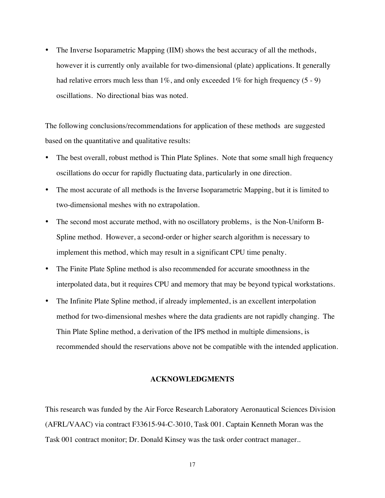• The Inverse Isoparametric Mapping (IIM) shows the best accuracy of all the methods, however it is currently only available for two-dimensional (plate) applications. It generally had relative errors much less than  $1\%$ , and only exceeded  $1\%$  for high frequency (5 - 9) oscillations. No directional bias was noted.

The following conclusions/recommendations for application of these methods are suggested based on the quantitative and qualitative results:

- The best overall, robust method is Thin Plate Splines. Note that some small high frequency oscillations do occur for rapidly fluctuating data, particularly in one direction.
- The most accurate of all methods is the Inverse Isoparametric Mapping, but it is limited to two-dimensional meshes with no extrapolation.
- The second most accurate method, with no oscillatory problems, is the Non-Uniform B-Spline method. However, a second-order or higher search algorithm is necessary to implement this method, which may result in a significant CPU time penalty.
- The Finite Plate Spline method is also recommended for accurate smoothness in the interpolated data, but it requires CPU and memory that may be beyond typical workstations.
- The Infinite Plate Spline method, if already implemented, is an excellent interpolation method for two-dimensional meshes where the data gradients are not rapidly changing. The Thin Plate Spline method, a derivation of the IPS method in multiple dimensions, is recommended should the reservations above not be compatible with the intended application.

#### **ACKNOWLEDGMENTS**

This research was funded by the Air Force Research Laboratory Aeronautical Sciences Division (AFRL/VAAC) via contract F33615-94-C-3010, Task 001. Captain Kenneth Moran was the Task 001 contract monitor; Dr. Donald Kinsey was the task order contract manager..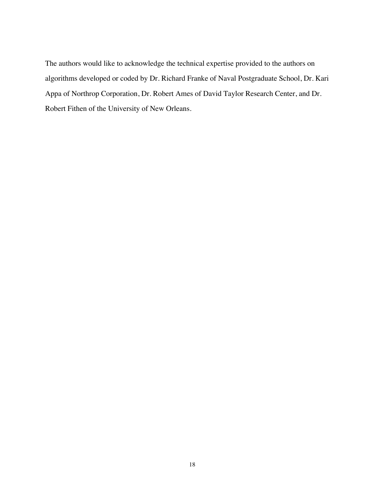The authors would like to acknowledge the technical expertise provided to the authors on algorithms developed or coded by Dr. Richard Franke of Naval Postgraduate School, Dr. Kari Appa of Northrop Corporation, Dr. Robert Ames of David Taylor Research Center, and Dr. Robert Fithen of the University of New Orleans.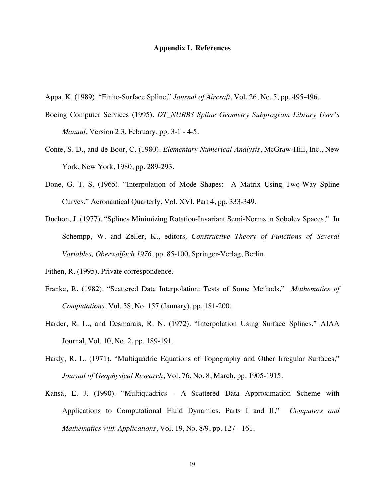## **Appendix I. References**

Appa, K. (1989). "Finite-Surface Spline," *Journal of Aircraft*, Vol. 26, No. 5, pp. 495-496.

- Boeing Computer Services (1995). *DT\_NURBS Spline Geometry Subprogram Library User's Manual*, Version 2.3, February, pp. 3-1 - 4-5.
- Conte, S. D., and de Boor, C. (1980). *Elementary Numerical Analysis*, McGraw-Hill, Inc., New York, New York, 1980, pp. 289-293.
- Done, G. T. S. (1965). "Interpolation of Mode Shapes: A Matrix Using Two-Way Spline Curves," Aeronautical Quarterly, Vol. XVI, Part 4, pp. 333-349.
- Duchon, J. (1977). "Splines Minimizing Rotation-Invariant Semi-Norms in Sobolev Spaces," In Schempp, W. and Zeller, K., editors*, Constructive Theory of Functions of Several Variables, Oberwolfach 1976*, pp. 85-100, Springer-Verlag, Berlin.
- Fithen, R. (1995). Private correspondence.
- Franke, R. (1982). "Scattered Data Interpolation: Tests of Some Methods," *Mathematics of Computations*, Vol. 38, No. 157 (January), pp. 181-200.
- Harder, R. L., and Desmarais, R. N. (1972). "Interpolation Using Surface Splines," AIAA Journal, Vol. 10, No. 2, pp. 189-191.
- Hardy, R. L. (1971). "Multiquadric Equations of Topography and Other Irregular Surfaces," *Journal of Geophysical Research*, Vol. 76, No. 8, March, pp. 1905-1915.
- Kansa, E. J. (1990). "Multiquadrics A Scattered Data Approximation Scheme with Applications to Computational Fluid Dynamics, Parts I and II," *Computers and Mathematics with Applications*, Vol. 19, No. 8/9, pp. 127 - 161.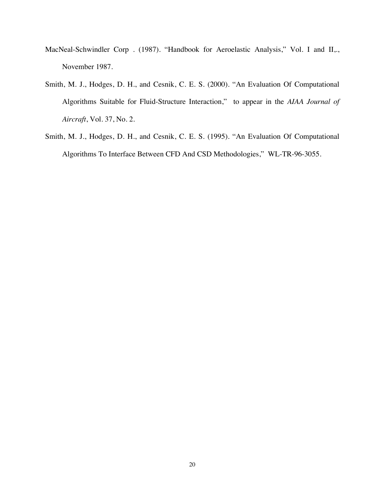- MacNeal-Schwindler Corp . (1987). "Handbook for Aeroelastic Analysis," Vol. I and II,., November 1987.
- Smith, M. J., Hodges, D. H., and Cesnik, C. E. S. (2000). "An Evaluation Of Computational Algorithms Suitable for Fluid-Structure Interaction," to appear in the *AIAA Journal of Aircraft*, Vol. 37, No. 2.
- Smith, M. J., Hodges, D. H., and Cesnik, C. E. S. (1995). "An Evaluation Of Computational Algorithms To Interface Between CFD And CSD Methodologies," WL-TR-96-3055.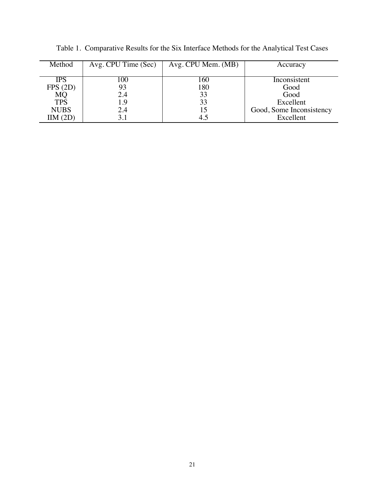| Method      | Avg. CPU Time (Sec) | Avg. CPU Mem. (MB) | Accuracy                 |
|-------------|---------------------|--------------------|--------------------------|
|             |                     |                    |                          |
| IPS         |                     | 160                | Inconsistent             |
| FPS(2D)     | 93                  | 180                | Good                     |
| MQ          | 2.4                 | 33                 | Good                     |
| <b>TPS</b>  | 1.9                 | 33                 | Excellent                |
| <b>NUBS</b> | 2.4                 |                    | Good, Some Inconsistency |
| IIM (2L     |                     |                    | Excellent                |

Table 1. Comparative Results for the Six Interface Methods for the Analytical Test Cases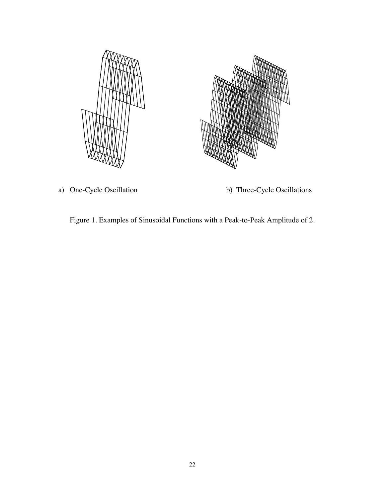

- 
- a) One-Cycle Oscillation b) Three-Cycle Oscillations

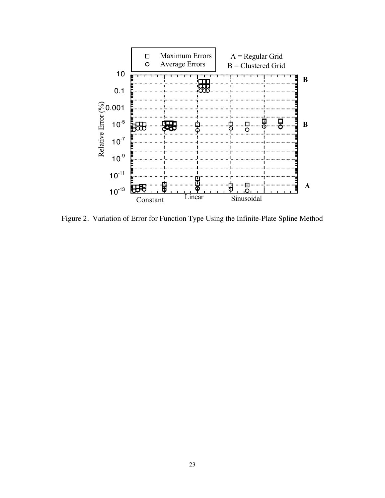

Figure 2. Variation of Error for Function Type Using the Infinite-Plate Spline Method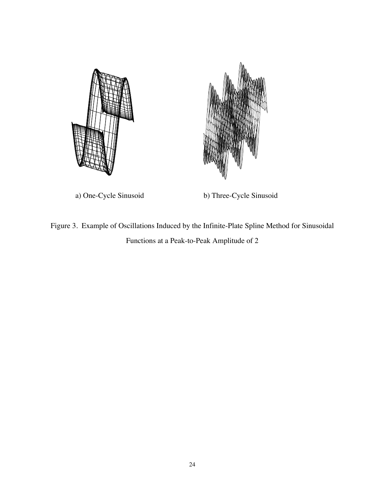



a) One-Cycle Sinusoid b) Three-Cycle Sinusoid

Figure 3. Example of Oscillations Induced by the Infinite-Plate Spline Method for Sinusoidal Functions at a Peak-to-Peak Amplitude of 2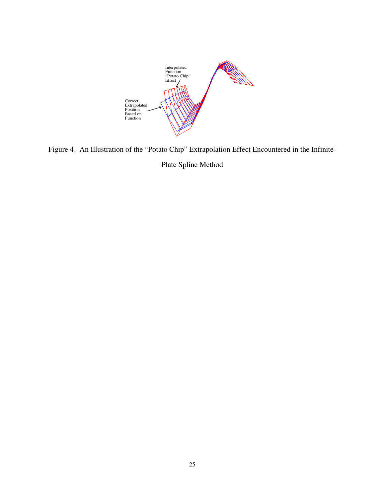

Figure 4. An Illustration of the "Potato Chip" Extrapolation Effect Encountered in the Infinite-

# Plate Spline Method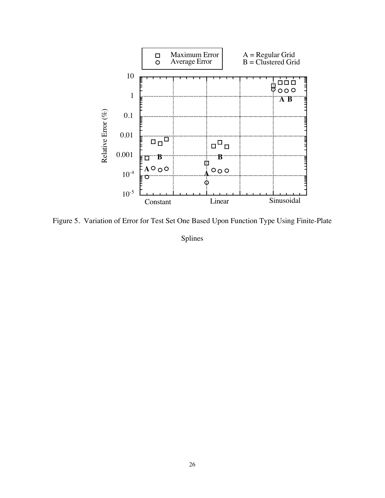

Figure 5. Variation of Error for Test Set One Based Upon Function Type Using Finite-Plate

Splines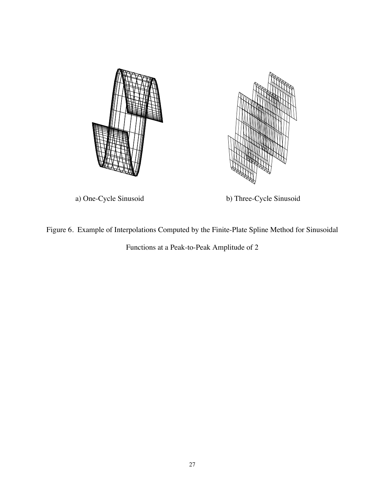



a) One-Cycle Sinusoid b) Three-Cycle Sinusoid

Figure 6. Example of Interpolations Computed by the Finite-Plate Spline Method for Sinusoidal Functions at a Peak-to-Peak Amplitude of 2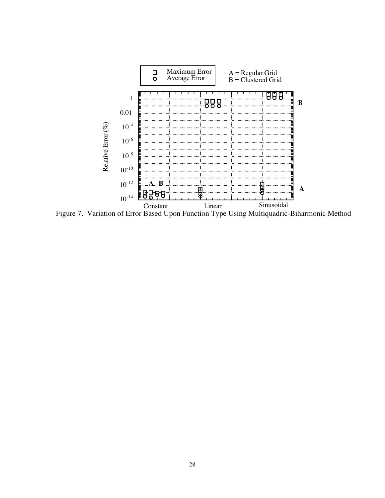

on Type Figure 7. Variation of Error Based Upon Function Type Using Multiquadric-Biharmonic Method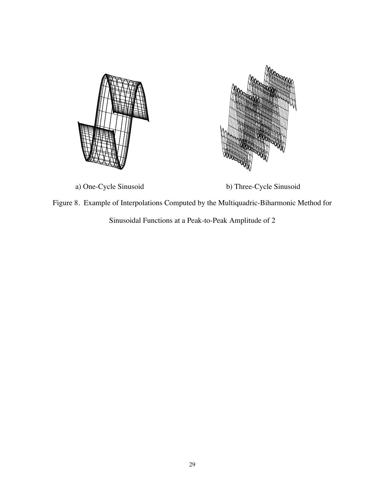





Figure 8. Example of Interpolations Computed by the Multiquadric-Biharmonic Method for

Sinusoidal Functions at a Peak-to-Peak Amplitude of 2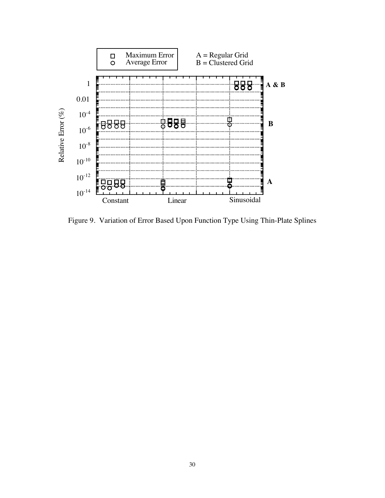

Figure 9. Variation of Error Based Upon Function Type Using Thin-Plate Splines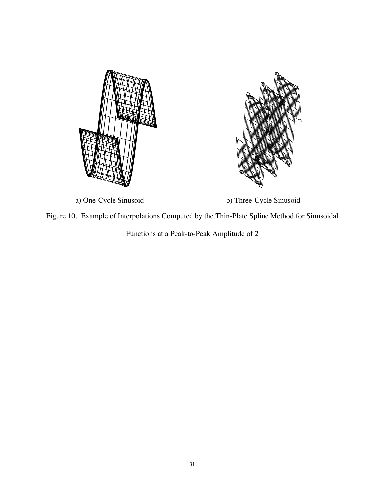





Figure 10. Example of Interpolations Computed by the Thin-Plate Spline Method for Sinusoidal Functions at a Peak-to-Peak Amplitude of 2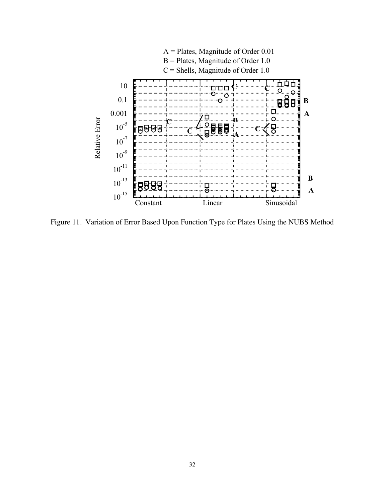

Figure 11. Variation of Error Based Upon Function Type for Plates Using the NUBS Method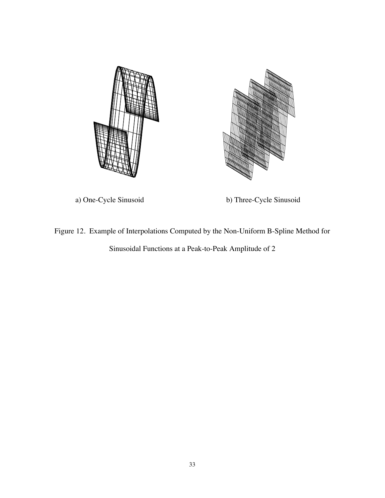



a) One-Cycle Sinusoid b) Three-Cycle Sinusoid

Figure 12. Example of Interpolations Computed by the Non-Uniform B-Spline Method for Sinusoidal Functions at a Peak-to-Peak Amplitude of 2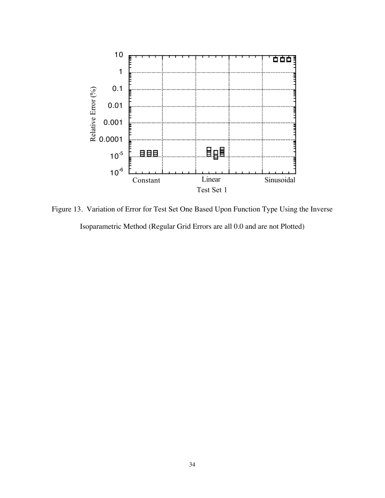

Figure 13. Variation of Error for Test Set One Based Upon Function Type Using the Inverse Isoparametric Method (Regular Grid Errors are all 0.0 and are not Plotted)